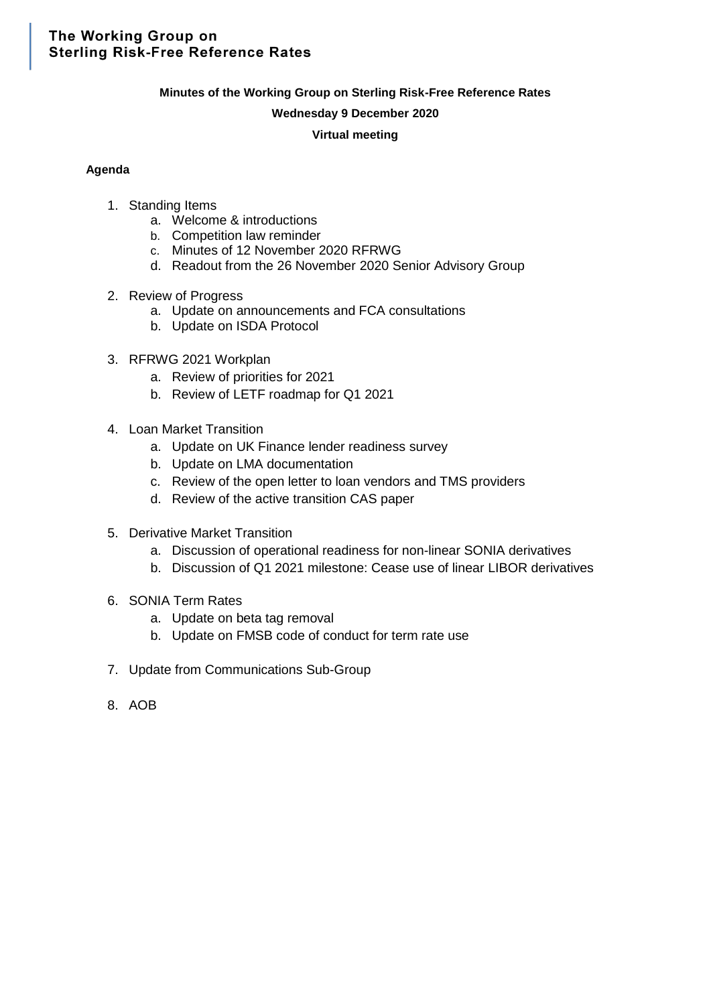# The Working Group on **Sterling Risk-Free Reference Rates**

## **Minutes of the Working Group on Sterling Risk-Free Reference Rates**

## **Wednesday 9 December 2020**

## **Virtual meeting**

## **Agenda**

- 1. Standing Items
	- a. Welcome & introductions
	- b. Competition law reminder
	- c. Minutes of 12 November 2020 RFRWG
	- d. Readout from the 26 November 2020 Senior Advisory Group
- 2. Review of Progress
	- a. Update on announcements and FCA consultations
	- b. Update on ISDA Protocol
- 3. RFRWG 2021 Workplan
	- a. Review of priorities for 2021
	- b. Review of LETF roadmap for Q1 2021
- 4. Loan Market Transition
	- a. Update on UK Finance lender readiness survey
	- b. Update on LMA documentation
	- c. Review of the open letter to loan vendors and TMS providers
	- d. Review of the active transition CAS paper
- 5. Derivative Market Transition
	- a. Discussion of operational readiness for non-linear SONIA derivatives
	- b. Discussion of Q1 2021 milestone: Cease use of linear LIBOR derivatives
- 6. SONIA Term Rates
	- a. Update on beta tag removal
	- b. Update on FMSB code of conduct for term rate use
- 7. Update from Communications Sub-Group
- 8. AOB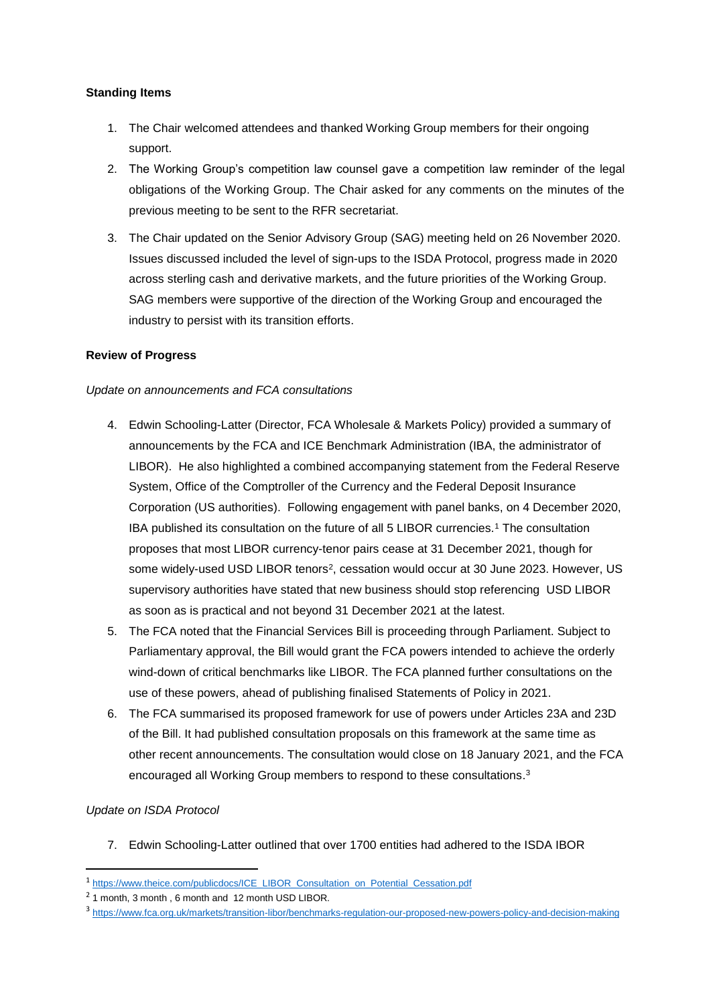## **Standing Items**

- 1. The Chair welcomed attendees and thanked Working Group members for their ongoing support.
- 2. The Working Group's competition law counsel gave a competition law reminder of the legal obligations of the Working Group. The Chair asked for any comments on the minutes of the previous meeting to be sent to the RFR secretariat.
- 3. The Chair updated on the Senior Advisory Group (SAG) meeting held on 26 November 2020. Issues discussed included the level of sign-ups to the ISDA Protocol, progress made in 2020 across sterling cash and derivative markets, and the future priorities of the Working Group. SAG members were supportive of the direction of the Working Group and encouraged the industry to persist with its transition efforts.

## **Review of Progress**

## *Update on announcements and FCA consultations*

- 4. Edwin Schooling-Latter (Director, FCA Wholesale & Markets Policy) provided a summary of announcements by the FCA and ICE Benchmark Administration (IBA, the administrator of LIBOR). He also highlighted a combined accompanying statement from the Federal Reserve System, Office of the Comptroller of the Currency and the Federal Deposit Insurance Corporation (US authorities). Following engagement with panel banks, on 4 December 2020, IBA published its consultation on the future of all 5 LIBOR currencies.<sup>1</sup> The consultation proposes that most LIBOR currency-tenor pairs cease at 31 December 2021, though for some widely-used USD LIBOR tenors<sup>2</sup>, cessation would occur at 30 June 2023. However, US supervisory authorities have stated that new business should stop referencing USD LIBOR as soon as is practical and not beyond 31 December 2021 at the latest.
- 5. The FCA noted that the Financial Services Bill is proceeding through Parliament. Subject to Parliamentary approval, the Bill would grant the FCA powers intended to achieve the orderly wind-down of critical benchmarks like LIBOR. The FCA planned further consultations on the use of these powers, ahead of publishing finalised Statements of Policy in 2021.
- 6. The FCA summarised its proposed framework for use of powers under Articles 23A and 23D of the Bill. It had published consultation proposals on this framework at the same time as other recent announcements. The consultation would close on 18 January 2021, and the FCA encouraged all Working Group members to respond to these consultations. 3

## *Update on ISDA Protocol*

**.** 

7. Edwin Schooling-Latter outlined that over 1700 entities had adhered to the ISDA IBOR

<sup>&</sup>lt;sup>1</sup> [https://www.theice.com/publicdocs/ICE\\_LIBOR\\_Consultation\\_on\\_Potential\\_Cessation.pdf](https://www.theice.com/publicdocs/ICE_LIBOR_Consultation_on_Potential_Cessation.pdf)

<sup>&</sup>lt;sup>2</sup> 1 month, 3 month, 6 month and 12 month USD LIBOR.

<sup>3</sup> <https://www.fca.org.uk/markets/transition-libor/benchmarks-regulation-our-proposed-new-powers-policy-and-decision-making>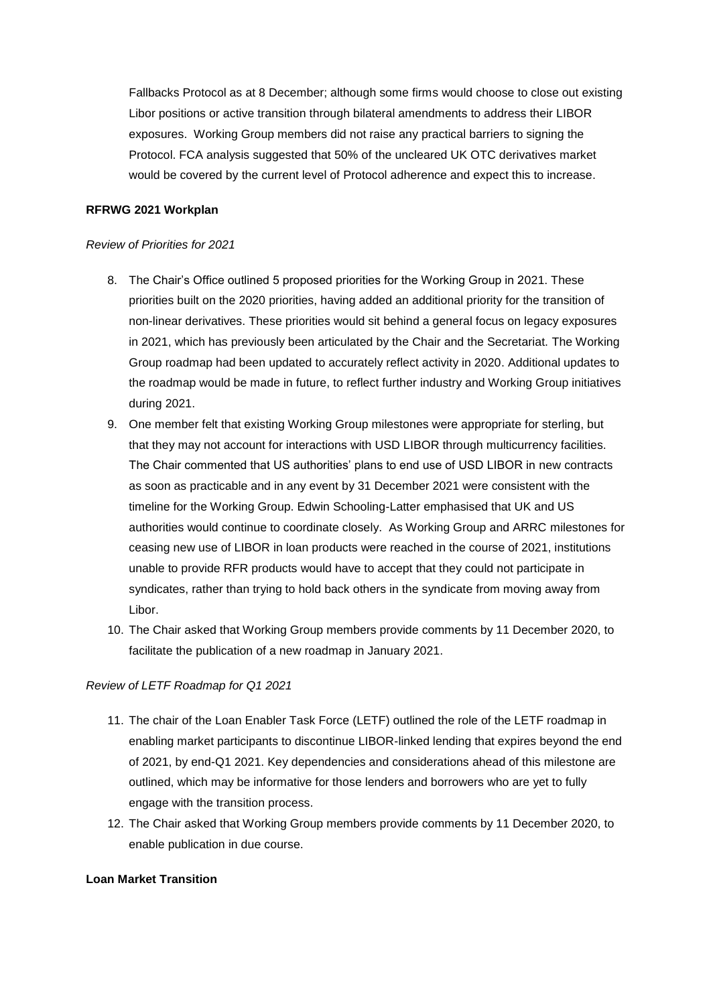Fallbacks Protocol as at 8 December; although some firms would choose to close out existing Libor positions or active transition through bilateral amendments to address their LIBOR exposures. Working Group members did not raise any practical barriers to signing the Protocol. FCA analysis suggested that 50% of the uncleared UK OTC derivatives market would be covered by the current level of Protocol adherence and expect this to increase.

## **RFRWG 2021 Workplan**

#### *Review of Priorities for 2021*

- 8. The Chair's Office outlined 5 proposed priorities for the Working Group in 2021. These priorities built on the 2020 priorities, having added an additional priority for the transition of non-linear derivatives. These priorities would sit behind a general focus on legacy exposures in 2021, which has previously been articulated by the Chair and the Secretariat. The Working Group roadmap had been updated to accurately reflect activity in 2020. Additional updates to the roadmap would be made in future, to reflect further industry and Working Group initiatives during 2021.
- 9. One member felt that existing Working Group milestones were appropriate for sterling, but that they may not account for interactions with USD LIBOR through multicurrency facilities. The Chair commented that US authorities' plans to end use of USD LIBOR in new contracts as soon as practicable and in any event by 31 December 2021 were consistent with the timeline for the Working Group. Edwin Schooling-Latter emphasised that UK and US authorities would continue to coordinate closely. As Working Group and ARRC milestones for ceasing new use of LIBOR in loan products were reached in the course of 2021, institutions unable to provide RFR products would have to accept that they could not participate in syndicates, rather than trying to hold back others in the syndicate from moving away from Libor.
- 10. The Chair asked that Working Group members provide comments by 11 December 2020, to facilitate the publication of a new roadmap in January 2021.

#### *Review of LETF Roadmap for Q1 2021*

- 11. The chair of the Loan Enabler Task Force (LETF) outlined the role of the LETF roadmap in enabling market participants to discontinue LIBOR-linked lending that expires beyond the end of 2021, by end-Q1 2021. Key dependencies and considerations ahead of this milestone are outlined, which may be informative for those lenders and borrowers who are yet to fully engage with the transition process.
- 12. The Chair asked that Working Group members provide comments by 11 December 2020, to enable publication in due course.

#### **Loan Market Transition**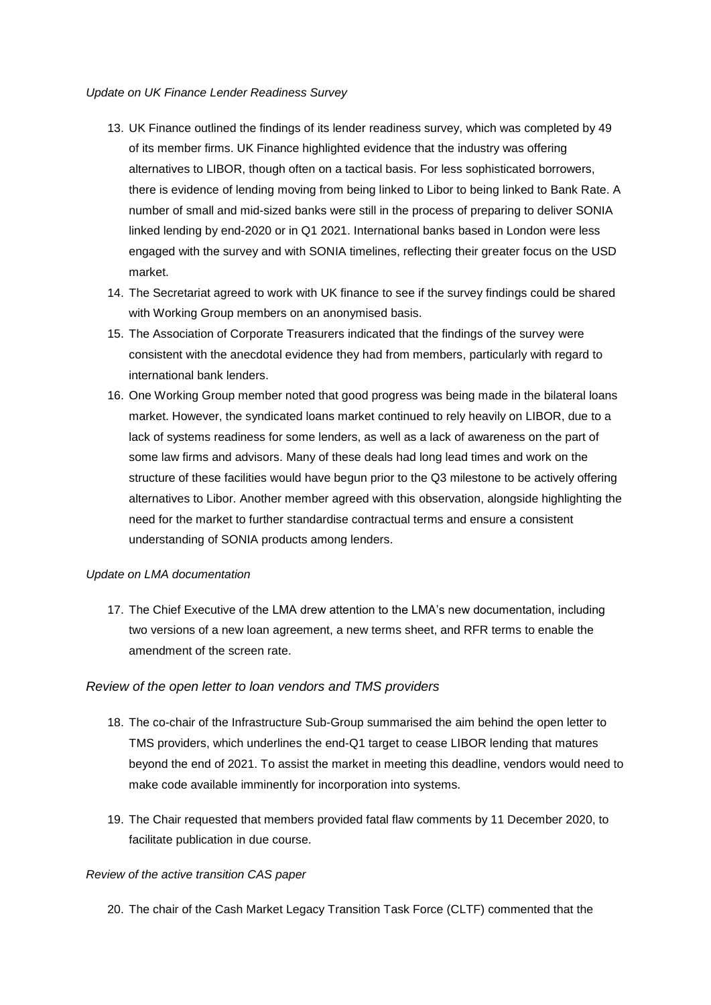#### *Update on UK Finance Lender Readiness Survey*

- 13. UK Finance outlined the findings of its lender readiness survey, which was completed by 49 of its member firms. UK Finance highlighted evidence that the industry was offering alternatives to LIBOR, though often on a tactical basis. For less sophisticated borrowers, there is evidence of lending moving from being linked to Libor to being linked to Bank Rate. A number of small and mid-sized banks were still in the process of preparing to deliver SONIA linked lending by end-2020 or in Q1 2021. International banks based in London were less engaged with the survey and with SONIA timelines, reflecting their greater focus on the USD market.
- 14. The Secretariat agreed to work with UK finance to see if the survey findings could be shared with Working Group members on an anonymised basis.
- 15. The Association of Corporate Treasurers indicated that the findings of the survey were consistent with the anecdotal evidence they had from members, particularly with regard to international bank lenders.
- 16. One Working Group member noted that good progress was being made in the bilateral loans market. However, the syndicated loans market continued to rely heavily on LIBOR, due to a lack of systems readiness for some lenders, as well as a lack of awareness on the part of some law firms and advisors. Many of these deals had long lead times and work on the structure of these facilities would have begun prior to the Q3 milestone to be actively offering alternatives to Libor. Another member agreed with this observation, alongside highlighting the need for the market to further standardise contractual terms and ensure a consistent understanding of SONIA products among lenders.

## *Update on LMA documentation*

17. The Chief Executive of the LMA drew attention to the LMA's new documentation, including two versions of a new loan agreement, a new terms sheet, and RFR terms to enable the amendment of the screen rate.

## *Review of the open letter to loan vendors and TMS providers*

- 18. The co-chair of the Infrastructure Sub-Group summarised the aim behind the open letter to TMS providers, which underlines the end-Q1 target to cease LIBOR lending that matures beyond the end of 2021. To assist the market in meeting this deadline, vendors would need to make code available imminently for incorporation into systems.
- 19. The Chair requested that members provided fatal flaw comments by 11 December 2020, to facilitate publication in due course.

#### *Review of the active transition CAS paper*

20. The chair of the Cash Market Legacy Transition Task Force (CLTF) commented that the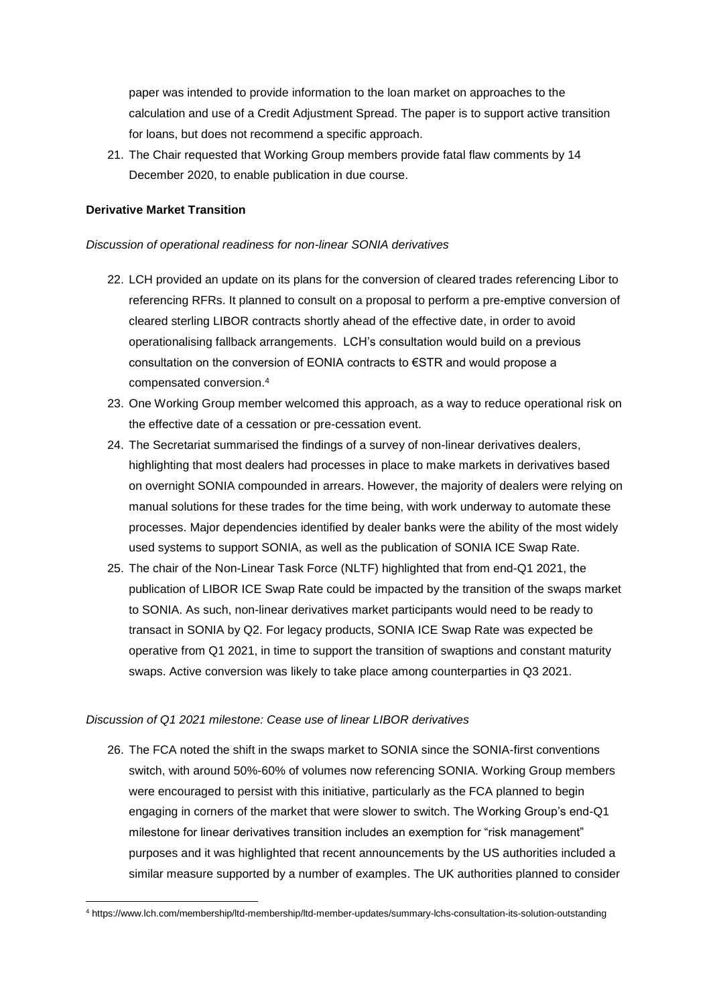paper was intended to provide information to the loan market on approaches to the calculation and use of a Credit Adjustment Spread. The paper is to support active transition for loans, but does not recommend a specific approach.

21. The Chair requested that Working Group members provide fatal flaw comments by 14 December 2020, to enable publication in due course.

#### **Derivative Market Transition**

**.** 

#### *Discussion of operational readiness for non-linear SONIA derivatives*

- 22. LCH provided an update on its plans for the conversion of cleared trades referencing Libor to referencing RFRs. It planned to consult on a proposal to perform a pre-emptive conversion of cleared sterling LIBOR contracts shortly ahead of the effective date, in order to avoid operationalising fallback arrangements. LCH's consultation would build on a previous consultation on the conversion of EONIA contracts to €STR and would propose a compensated conversion.<sup>4</sup>
- 23. One Working Group member welcomed this approach, as a way to reduce operational risk on the effective date of a cessation or pre-cessation event.
- 24. The Secretariat summarised the findings of a survey of non-linear derivatives dealers, highlighting that most dealers had processes in place to make markets in derivatives based on overnight SONIA compounded in arrears. However, the majority of dealers were relying on manual solutions for these trades for the time being, with work underway to automate these processes. Major dependencies identified by dealer banks were the ability of the most widely used systems to support SONIA, as well as the publication of SONIA ICE Swap Rate.
- 25. The chair of the Non-Linear Task Force (NLTF) highlighted that from end-Q1 2021, the publication of LIBOR ICE Swap Rate could be impacted by the transition of the swaps market to SONIA. As such, non-linear derivatives market participants would need to be ready to transact in SONIA by Q2. For legacy products, SONIA ICE Swap Rate was expected be operative from Q1 2021, in time to support the transition of swaptions and constant maturity swaps. Active conversion was likely to take place among counterparties in Q3 2021.

#### *Discussion of Q1 2021 milestone: Cease use of linear LIBOR derivatives*

26. The FCA noted the shift in the swaps market to SONIA since the SONIA-first conventions switch, with around 50%-60% of volumes now referencing SONIA. Working Group members were encouraged to persist with this initiative, particularly as the FCA planned to begin engaging in corners of the market that were slower to switch. The Working Group's end-Q1 milestone for linear derivatives transition includes an exemption for "risk management" purposes and it was highlighted that recent announcements by the US authorities included a similar measure supported by a number of examples. The UK authorities planned to consider

<sup>4</sup> https://www.lch.com/membership/ltd-membership/ltd-member-updates/summary-lchs-consultation-its-solution-outstanding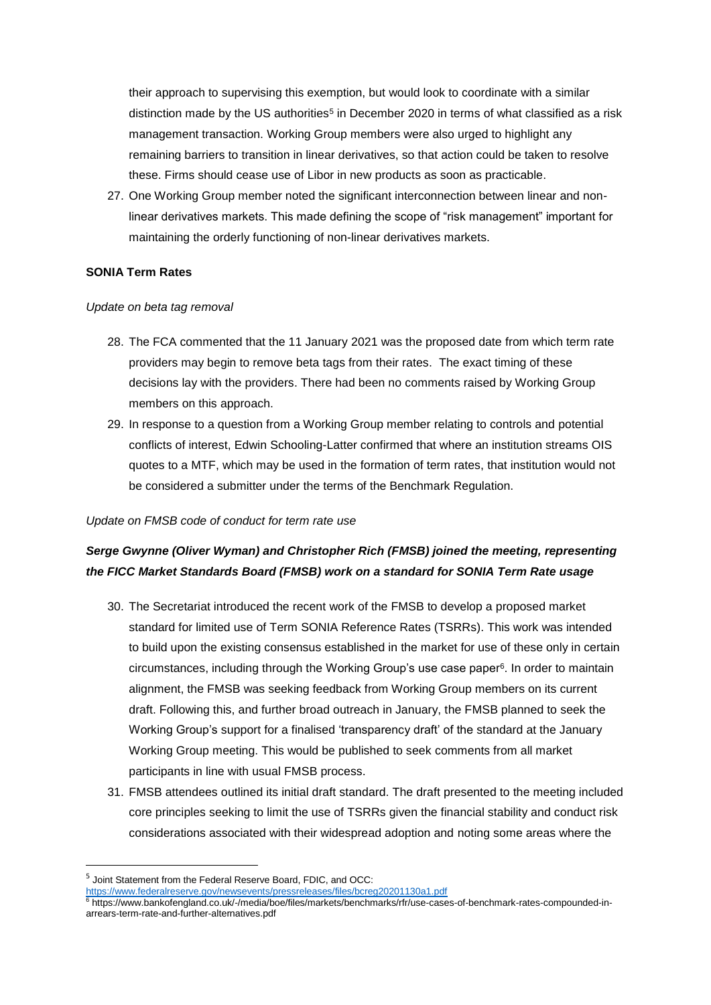their approach to supervising this exemption, but would look to coordinate with a similar distinction made by the US authorities<sup>5</sup> in December 2020 in terms of what classified as a risk management transaction. Working Group members were also urged to highlight any remaining barriers to transition in linear derivatives, so that action could be taken to resolve these. Firms should cease use of Libor in new products as soon as practicable.

27. One Working Group member noted the significant interconnection between linear and nonlinear derivatives markets. This made defining the scope of "risk management" important for maintaining the orderly functioning of non-linear derivatives markets.

#### **SONIA Term Rates**

#### *Update on beta tag removal*

- 28. The FCA commented that the 11 January 2021 was the proposed date from which term rate providers may begin to remove beta tags from their rates. The exact timing of these decisions lay with the providers. There had been no comments raised by Working Group members on this approach.
- 29. In response to a question from a Working Group member relating to controls and potential conflicts of interest, Edwin Schooling-Latter confirmed that where an institution streams OIS quotes to a MTF, which may be used in the formation of term rates, that institution would not be considered a submitter under the terms of the Benchmark Regulation.

#### *Update on FMSB code of conduct for term rate use*

# *Serge Gwynne (Oliver Wyman) and Christopher Rich (FMSB) joined the meeting, representing the FICC Market Standards Board (FMSB) work on a standard for SONIA Term Rate usage*

- 30. The Secretariat introduced the recent work of the FMSB to develop a proposed market standard for limited use of Term SONIA Reference Rates (TSRRs). This work was intended to build upon the existing consensus established in the market for use of these only in certain circumstances, including through the Working Group's use case paper 6 . In order to maintain alignment, the FMSB was seeking feedback from Working Group members on its current draft. Following this, and further broad outreach in January, the FMSB planned to seek the Working Group's support for a finalised 'transparency draft' of the standard at the January Working Group meeting. This would be published to seek comments from all market participants in line with usual FMSB process.
- 31. FMSB attendees outlined its initial draft standard. The draft presented to the meeting included core principles seeking to limit the use of TSRRs given the financial stability and conduct risk considerations associated with their widespread adoption and noting some areas where the

 $\overline{a}$ 

<sup>&</sup>lt;sup>5</sup> Joint Statement from the Federal Reserve Board, FDIC, and OCC:

<https://www.federalreserve.gov/newsevents/pressreleases/files/bcreg20201130a1.pdf>

<sup>6</sup> https://www.bankofengland.co.uk/-/media/boe/files/markets/benchmarks/rfr/use-cases-of-benchmark-rates-compounded-inarrears-term-rate-and-further-alternatives.pdf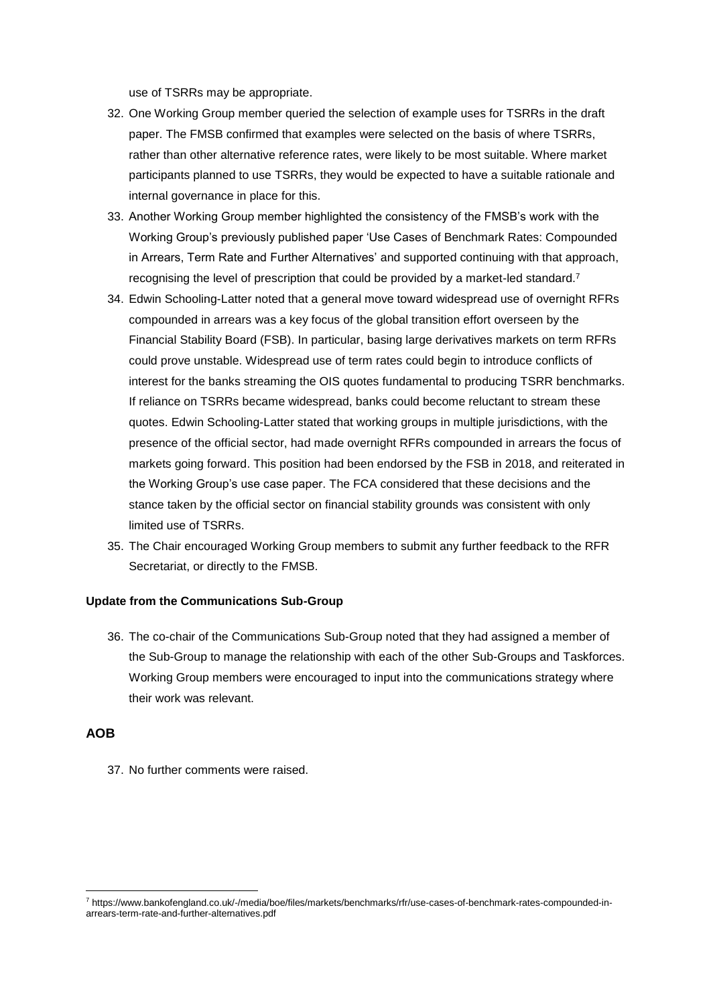use of TSRRs may be appropriate.

- 32. One Working Group member queried the selection of example uses for TSRRs in the draft paper. The FMSB confirmed that examples were selected on the basis of where TSRRs, rather than other alternative reference rates, were likely to be most suitable. Where market participants planned to use TSRRs, they would be expected to have a suitable rationale and internal governance in place for this.
- 33. Another Working Group member highlighted the consistency of the FMSB's work with the Working Group's previously published paper 'Use Cases of Benchmark Rates: Compounded in Arrears, Term Rate and Further Alternatives' and supported continuing with that approach, recognising the level of prescription that could be provided by a market-led standard.<sup>7</sup>
- 34. Edwin Schooling-Latter noted that a general move toward widespread use of overnight RFRs compounded in arrears was a key focus of the global transition effort overseen by the Financial Stability Board (FSB). In particular, basing large derivatives markets on term RFRs could prove unstable. Widespread use of term rates could begin to introduce conflicts of interest for the banks streaming the OIS quotes fundamental to producing TSRR benchmarks. If reliance on TSRRs became widespread, banks could become reluctant to stream these quotes. Edwin Schooling-Latter stated that working groups in multiple jurisdictions, with the presence of the official sector, had made overnight RFRs compounded in arrears the focus of markets going forward. This position had been endorsed by the FSB in 2018, and reiterated in the Working Group's use case paper. The FCA considered that these decisions and the stance taken by the official sector on financial stability grounds was consistent with only limited use of TSRRs.
- 35. The Chair encouraged Working Group members to submit any further feedback to the RFR Secretariat, or directly to the FMSB.

#### **Update from the Communications Sub-Group**

36. The co-chair of the Communications Sub-Group noted that they had assigned a member of the Sub-Group to manage the relationship with each of the other Sub-Groups and Taskforces. Working Group members were encouraged to input into the communications strategy where their work was relevant.

## **AOB**

**.** 

37. No further comments were raised.

<sup>7</sup> https://www.bankofengland.co.uk/-/media/boe/files/markets/benchmarks/rfr/use-cases-of-benchmark-rates-compounded-inarrears-term-rate-and-further-alternatives.pdf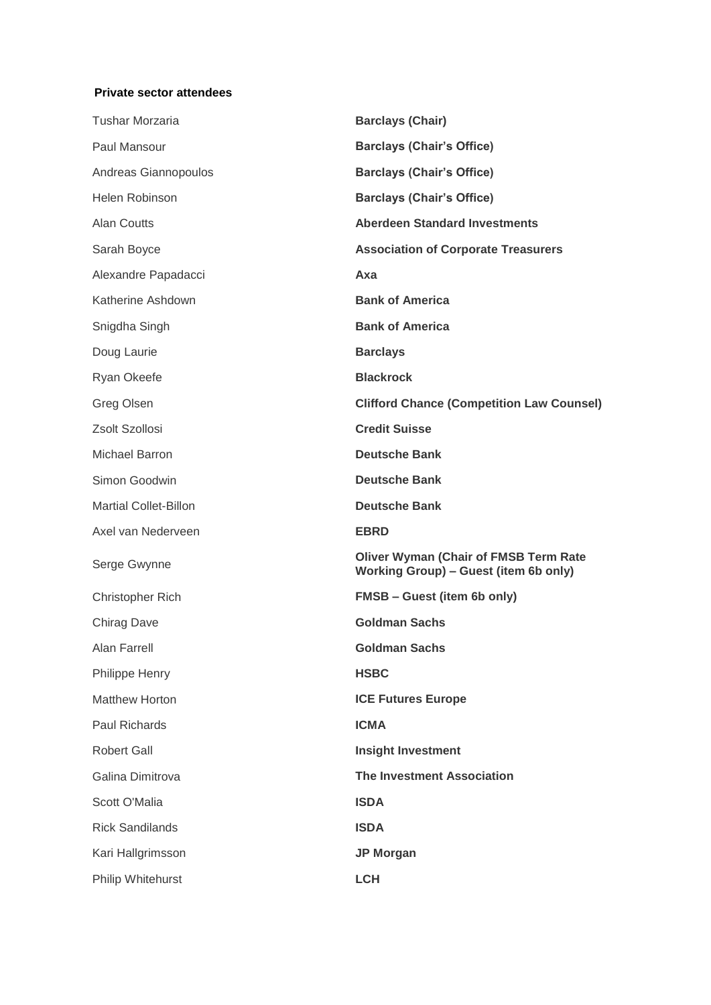## **Private sector attendees**

| <b>Tushar Morzaria</b>       | <b>Barclays (Chair)</b>                                                               |  |
|------------------------------|---------------------------------------------------------------------------------------|--|
| Paul Mansour                 | <b>Barclays (Chair's Office)</b>                                                      |  |
| Andreas Giannopoulos         | <b>Barclays (Chair's Office)</b>                                                      |  |
| Helen Robinson               | <b>Barclays (Chair's Office)</b>                                                      |  |
| Alan Coutts                  | <b>Aberdeen Standard Investments</b>                                                  |  |
| Sarah Boyce                  | <b>Association of Corporate Treasurers</b>                                            |  |
| Alexandre Papadacci          | Axa                                                                                   |  |
| Katherine Ashdown            | <b>Bank of America</b>                                                                |  |
| Snigdha Singh                | <b>Bank of America</b>                                                                |  |
| Doug Laurie                  | <b>Barclays</b>                                                                       |  |
| Ryan Okeefe                  | <b>Blackrock</b>                                                                      |  |
| Greg Olsen                   | <b>Clifford Chance (Competition Law Counsel)</b>                                      |  |
| Zsolt Szollosi               | <b>Credit Suisse</b>                                                                  |  |
| Michael Barron               | <b>Deutsche Bank</b>                                                                  |  |
| Simon Goodwin                | <b>Deutsche Bank</b>                                                                  |  |
| <b>Martial Collet-Billon</b> | <b>Deutsche Bank</b>                                                                  |  |
| Axel van Nederveen           | <b>EBRD</b>                                                                           |  |
| Serge Gwynne                 | <b>Oliver Wyman (Chair of FMSB Term Rate</b><br>Working Group) - Guest (item 6b only) |  |
| Christopher Rich             | <b>FMSB - Guest (item 6b only)</b>                                                    |  |
| <b>Chirag Dave</b>           | <b>Goldman Sachs</b>                                                                  |  |
| Alan Farrell                 | <b>Goldman Sachs</b>                                                                  |  |
| <b>Philippe Henry</b>        | <b>HSBC</b>                                                                           |  |
| <b>Matthew Horton</b>        | <b>ICE Futures Europe</b>                                                             |  |
| Paul Richards                | <b>ICMA</b>                                                                           |  |
| <b>Robert Gall</b>           | <b>Insight Investment</b>                                                             |  |
| Galina Dimitrova             | <b>The Investment Association</b>                                                     |  |
| Scott O'Malia                | <b>ISDA</b>                                                                           |  |
| <b>Rick Sandilands</b>       | <b>ISDA</b>                                                                           |  |
| Kari Hallgrimsson            | <b>JP Morgan</b>                                                                      |  |
| Philip Whitehurst            | <b>LCH</b>                                                                            |  |